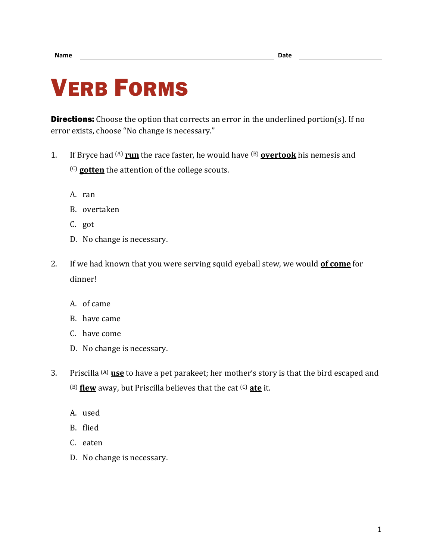## VERB FORMS

**Directions:** Choose the option that corrects an error in the underlined portion(s). If no error exists, choose "No change is necessary."

- 1. If Bryce had (A) **run** the race faster, he would have (B) **overtook** his nemesis and (C) **gotten** the attention of the college scouts.
	- A. ran
	- B. overtaken
	- C. got
	- D. No change is necessary.
- 2. If we had known that you were serving squid eyeball stew, we would **of come** for dinner!
	- A. of came
	- B. have came
	- C. have come
	- D. No change is necessary.
- 3. Priscilla (A) **use** to have a pet parakeet; her mother's story is that the bird escaped and (B) **flew** away, but Priscilla believes that the cat (C) **ate** it.
	- A. used
	- B. flied
	- C. eaten
	- D. No change is necessary.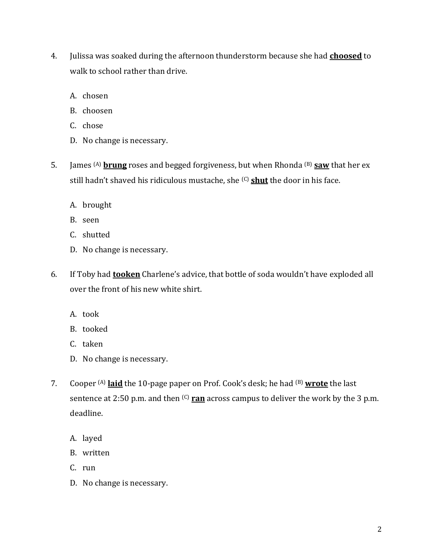- 4. Julissa was soaked during the afternoon thunderstorm because she had **choosed** to walk to school rather than drive.
	- A. chosen
	- B. choosen
	- C. chose
	- D. No change is necessary.
- 5. James (A) **brung** roses and begged forgiveness, but when Rhonda (B) **saw** that her ex still hadn't shaved his ridiculous mustache, she <sup>(C)</sup> shut the door in his face.
	- A. brought
	- B. seen
	- C. shutted
	- D. No change is necessary.
- 6. If Toby had **tooken** Charlene's advice, that bottle of soda wouldn't have exploded all over the front of his new white shirt.
	- A. took
	- B. tooked
	- C. taken
	- D. No change is necessary.
- 7. Cooper (A) **laid** the 10-page paper on Prof. Cook's desk; he had (B) **wrote** the last sentence at 2:50 p.m. and then <sup>(C)</sup> ran across campus to deliver the work by the 3 p.m. deadline.
	- A. layed
	- B. written
	- C. run
	- D. No change is necessary.